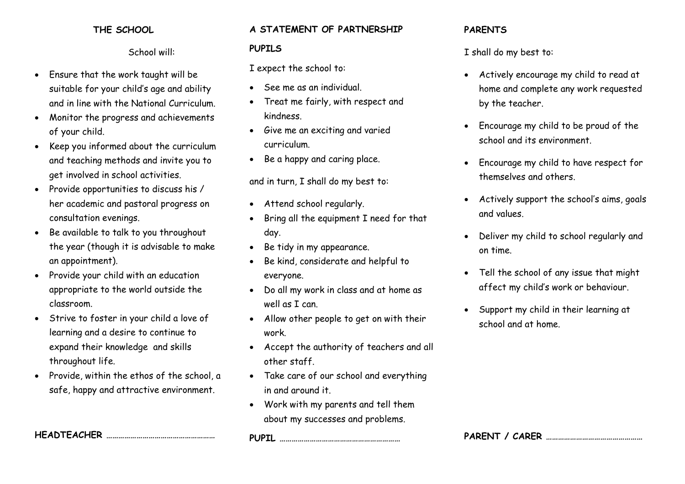## **THE SCHOOL**

School will:

- Ensure that the work taught will be suitable for your child's age and ability and in line with the National Curriculum.
- Monitor the progress and achievements of your child.
- Keep you informed about the curriculum and teaching methods and invite you to get involved in school activities.
- Provide opportunities to discuss his / her academic and pastoral progress on consultation evenings.
- Be available to talk to you throughout the year (though it is advisable to make an appointment).
- Provide your child with an education appropriate to the world outside the classroom.
- Strive to foster in your child a love of learning and a desire to continue to expand their knowledge and skills throughout life.
- Provide, within the ethos of the school, a safe, happy and attractive environment.

**HEADTEACHER ………………………………………………**

### **A STATEMENT OF PARTNERSHIP**

#### **PUPILS**

I expect the school to:

- See me as an individual.
- Treat me fairly, with respect and kindness.
- Give me an exciting and varied curriculum.
- Be a happy and caring place.

and in turn, I shall do my best to:

- Attend school regularly.
- Bring all the equipment I need for that day.
- Be tidy in my appearance.
- Be kind, considerate and helpful to everyone.
- Do all my work in class and at home as well as I can.
- Allow other people to get on with their work.
- Accept the authority of teachers and all other staff.
- Take care of our school and everything in and around it.
- Work with my parents and tell them about my successes and problems.

**PUPIL ……………………………………………………**

### **PARENTS**

I shall do my best to:

- Actively encourage my child to read at home and complete any work requested by the teacher.
- Encourage my child to be proud of the school and its environment.
- Encourage my child to have respect for themselves and others.
- Actively support the school's aims, goals and values.
- Deliver my child to school regularly and on time.
- Tell the school of any issue that might affect my child's work or behaviour.
- Support my child in their learning at school and at home.

**PARENT / CARER …………………………………………**